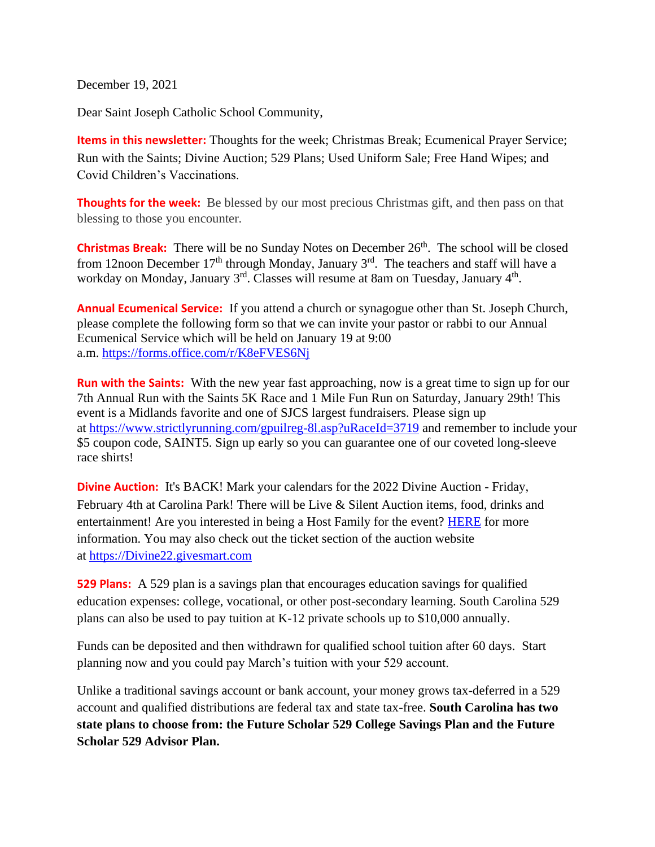December 19, 2021

Dear Saint Joseph Catholic School Community,

**Items in this newsletter:** Thoughts for the week; Christmas Break; Ecumenical Prayer Service; Run with the Saints; Divine Auction; 529 Plans; Used Uniform Sale; Free Hand Wipes; and Covid Children's Vaccinations.

**Thoughts for the week:** Be blessed by our most precious Christmas gift, and then pass on that blessing to those you encounter.

**Christmas Break:** There will be no Sunday Notes on December 26<sup>th</sup>. The school will be closed from 12noon December  $17<sup>th</sup>$  through Monday, January  $3<sup>rd</sup>$ . The teachers and staff will have a workday on Monday, January 3<sup>rd</sup>. Classes will resume at 8am on Tuesday, January 4<sup>th</sup>.

**Annual Ecumenical Service:** If you attend a church or synagogue other than St. Joseph Church, please complete the following form so that we can invite your pastor or rabbi to our Annual Ecumenical Service which will be held on January 19 at 9:00 a.m. <https://forms.office.com/r/K8eFVES6Nj>

**Run with the Saints:** With the new year fast approaching, now is a great time to sign up for our 7th Annual Run with the Saints 5K Race and 1 Mile Fun Run on Saturday, January 29th! This event is a Midlands favorite and one of SJCS largest fundraisers. Please sign up at <https://www.strictlyrunning.com/gpuilreg-8l.asp?uRaceId=3719> and remember to include your \$5 coupon code, SAINT5. Sign up early so you can guarantee one of our coveted long-sleeve race shirts!

**Divine Auction:** It's BACK! Mark your calendars for the 2022 Divine Auction - Friday, February 4th at Carolina Park! There will be Live & Silent Auction items, food, drinks and entertainment! Are you interested in being a Host Family for the event? **HERE** for more information. You may also check out the ticket section of the auction website at [https://Divine22.givesmart.com](https://divine22.givesmart.com/)

**529 Plans:** A 529 plan is a savings plan that encourages education savings for qualified education expenses: college, vocational, or other post-secondary learning. South Carolina 529 plans can also be used to pay tuition at K-12 private schools up to \$10,000 annually.

Funds can be deposited and then withdrawn for qualified school tuition after 60 days. Start planning now and you could pay March's tuition with your 529 account.

Unlike a traditional savings account or bank account, your money grows tax-deferred in a 529 account and qualified distributions are federal tax and state tax-free. **South Carolina has two state plans to choose from: the Future Scholar 529 College Savings Plan and the Future Scholar 529 Advisor Plan.**